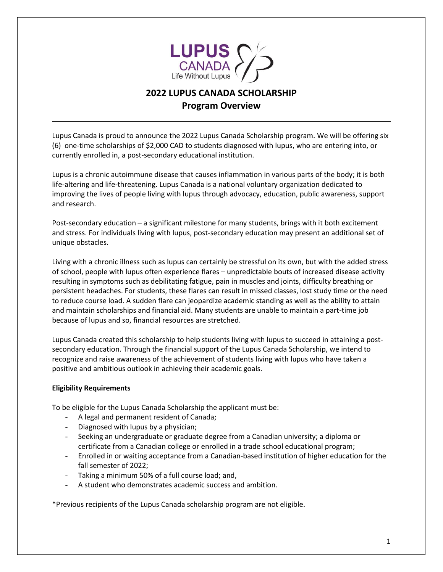

# **2022 LUPUS CANADA SCHOLARSHIP Program Overview**

Lupus Canada is proud to announce the 2022 Lupus Canada Scholarship program. We will be offering six (6) one-time scholarships of \$2,000 CAD to students diagnosed with lupus, who are entering into, or currently enrolled in, a post-secondary educational institution.

Lupus is a chronic autoimmune disease that causes inflammation in various parts of the body; it is both life-altering and life-threatening. Lupus Canada is a national voluntary organization dedicated to improving the lives of people living with lupus through advocacy, education, public awareness, support and research.

Post-secondary education – a significant milestone for many students, brings with it both excitement and stress. For individuals living with lupus, post-secondary education may present an additional set of unique obstacles.

Living with a chronic illness such as lupus can certainly be stressful on its own, but with the added stress of school, people with lupus often experience flares – unpredictable bouts of increased disease activity resulting in symptoms such as debilitating fatigue, pain in muscles and joints, difficulty breathing or persistent headaches. For students, these flares can result in missed classes, lost study time or the need to reduce course load. A sudden flare can jeopardize academic standing as well as the ability to attain and maintain scholarships and financial aid. Many students are unable to maintain a part-time job because of lupus and so, financial resources are stretched.

Lupus Canada created this scholarship to help students living with lupus to succeed in attaining a postsecondary education. Through the financial support of the Lupus Canada Scholarship, we intend to recognize and raise awareness of the achievement of students living with lupus who have taken a positive and ambitious outlook in achieving their academic goals.

## **Eligibility Requirements**

To be eligible for the Lupus Canada Scholarship the applicant must be:

- A legal and permanent resident of Canada;
- Diagnosed with lupus by a physician;
- Seeking an undergraduate or graduate degree from a Canadian university; a diploma or certificate from a Canadian college or enrolled in a trade school educational program;
- Enrolled in or waiting acceptance from a Canadian-based institution of higher education for the fall semester of 2022;
- Taking a minimum 50% of a full course load; and,
- A student who demonstrates academic success and ambition.

\*Previous recipients of the Lupus Canada scholarship program are not eligible.